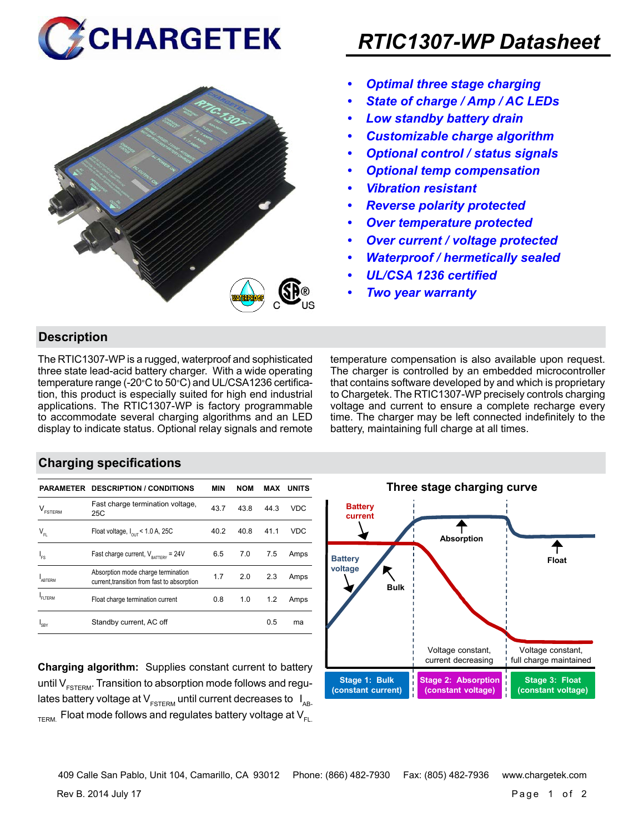



## *RTIC1307-WP Datasheet*

- *• Optimal three stage charging*
- *• State of charge / Amp / AC LEDs*
- *• Low standby battery drain*
- *• Customizable charge algorithm*
- *• Optional control / status signals*
- *• Optional temp compensation*
- *• Vibration resistant*
- *• Reverse polarity protected*
- *• Over temperature protected*
- *• Over current / voltage protected*
- *• Waterproof / hermetically sealed*
- *• UL/CSA 1236 certified*
- *• Two year warranty*

#### **Description**

The RTIC1307-WP is a rugged, waterproof and sophisticated three state lead-acid battery charger. With a wide operating temperature range (-20°C to 50°C) and UL/CSA1236 certification, this product is especially suited for high end industrial applications. The RTIC1307-WP is factory programmable to accommodate several charging algorithms and an LED display to indicate status. Optional relay signals and remote temperature compensation is also available upon request. The charger is controlled by an embedded microcontroller that contains software developed by and which is proprietary to Chargetek. The RTIC1307-WP precisely controls charging voltage and current to ensure a complete recharge every time. The charger may be left connected indefinitely to the battery, maintaining full charge at all times.

#### **Charging specifications**

|                                | <b>PARAMETER DESCRIPTION / CONDITIONS</b>                                         | <b>MIN</b> | <b>NOM</b> | MAX  | <b>UNITS</b> |
|--------------------------------|-----------------------------------------------------------------------------------|------------|------------|------|--------------|
| $\mathsf{V}_{\texttt{FSTERM}}$ | Fast charge termination voltage,<br>25C                                           | 43.7       | 43.8       | 44.3 | VDC          |
| $V_{FL}$                       | Float voltage, $I_{\text{out}}$ < 1.0 A, 25C                                      | 40.2       | 40.8       | 41.1 | VDC          |
| $I_{FS}$                       | Fast charge current, $V_{\text{partrev}} = 24V$                                   | 6.5        | 7.0        | 7.5  | Amps         |
| <b>ARTERM</b>                  | Absorption mode charge termination<br>current, transition from fast to absorption | 1.7        | 2.0        | 2.3  | Amps         |
| <b>FITERM</b>                  | Float charge termination current                                                  | 0.8        | 1.0        | 1.2  | Amps         |
| <b>SRY</b>                     | Standby current, AC off                                                           |            |            | 0.5  | ma           |

**Charging algorithm:** Supplies constant current to battery until  $V_{ESTFRM}$ . Transition to absorption mode follows and regulates battery voltage at  $V_{ESTERM}$  until current decreases to  $I_{AR}$  $T_{\text{FRM}}$  Float mode follows and regulates battery voltage at  $V_{\text{FL}}$ 



Rev B. 2014 July 17 Page 1 of 2 409 Calle San Pablo, Unit 104, Camarillo, CA 93012 Phone: (866) 482-7930 Fax: (805) 482-7936 www.chargetek.com